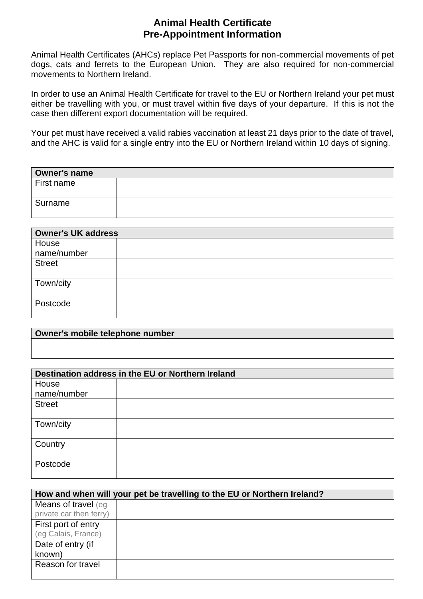## **Animal Health Certificate Pre-Appointment Information**

Animal Health Certificates (AHCs) replace Pet Passports for non-commercial movements of pet dogs, cats and ferrets to the European Union. They are also required for non-commercial movements to Northern Ireland.

In order to use an Animal Health Certificate for travel to the EU or Northern Ireland your pet must either be travelling with you, or must travel within five days of your departure. If this is not the case then different export documentation will be required.

Your pet must have received a valid rabies vaccination at least 21 days prior to the date of travel, and the AHC is valid for a single entry into the EU or Northern Ireland within 10 days of signing.

| Owner's name |  |  |
|--------------|--|--|
| First name   |  |  |
| Surname      |  |  |

| <b>Owner's UK address</b> |  |  |  |
|---------------------------|--|--|--|
| House                     |  |  |  |
| name/number               |  |  |  |
| <b>Street</b>             |  |  |  |
|                           |  |  |  |
| Town/city                 |  |  |  |
|                           |  |  |  |
| Postcode                  |  |  |  |
|                           |  |  |  |

| Owner's mobile telephone number |  |
|---------------------------------|--|
|                                 |  |
|                                 |  |
|                                 |  |
|                                 |  |

| Destination address in the EU or Northern Ireland |  |  |  |
|---------------------------------------------------|--|--|--|
| House                                             |  |  |  |
| name/number                                       |  |  |  |
| <b>Street</b>                                     |  |  |  |
| Town/city                                         |  |  |  |
| Country                                           |  |  |  |
| Postcode                                          |  |  |  |

| How and when will your pet be travelling to the EU or Northern Ireland? |  |  |  |
|-------------------------------------------------------------------------|--|--|--|
| Means of travel (eg                                                     |  |  |  |
| private car then ferry)                                                 |  |  |  |
| First port of entry                                                     |  |  |  |
| (eg Calais, France)                                                     |  |  |  |
| Date of entry (if                                                       |  |  |  |
| known)                                                                  |  |  |  |
| Reason for travel                                                       |  |  |  |
|                                                                         |  |  |  |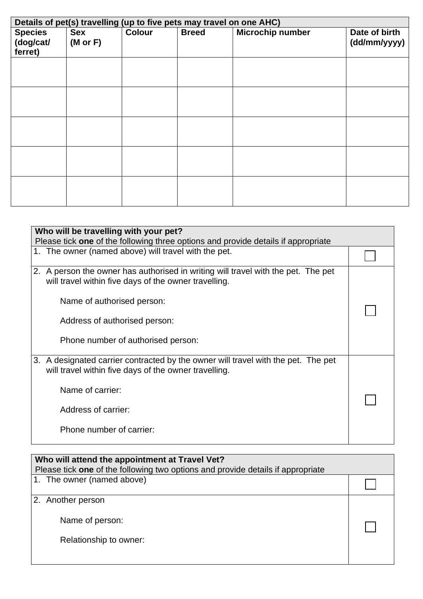| Details of pet(s) travelling (up to five pets may travel on one AHC) |                                   |               |              |                  |                               |
|----------------------------------------------------------------------|-----------------------------------|---------------|--------------|------------------|-------------------------------|
| <b>Species</b><br>(dog/cat/<br>ferret)                               | <b>Sex</b><br>$(M \text{ or } F)$ | <b>Colour</b> | <b>Breed</b> | Microchip number | Date of birth<br>(dd/mm/yyyy) |
|                                                                      |                                   |               |              |                  |                               |
|                                                                      |                                   |               |              |                  |                               |
|                                                                      |                                   |               |              |                  |                               |
|                                                                      |                                   |               |              |                  |                               |
|                                                                      |                                   |               |              |                  |                               |

| Who will be travelling with your pet?<br>Please tick one of the following three options and provide details if appropriate                 |  |  |
|--------------------------------------------------------------------------------------------------------------------------------------------|--|--|
| 1. The owner (named above) will travel with the pet.                                                                                       |  |  |
| 2. A person the owner has authorised in writing will travel with the pet. The pet<br>will travel within five days of the owner travelling. |  |  |
| Name of authorised person:                                                                                                                 |  |  |
| Address of authorised person:                                                                                                              |  |  |
| Phone number of authorised person:                                                                                                         |  |  |
| 3. A designated carrier contracted by the owner will travel with the pet. The pet<br>will travel within five days of the owner travelling. |  |  |
| Name of carrier:                                                                                                                           |  |  |
| Address of carrier:                                                                                                                        |  |  |
| Phone number of carrier:                                                                                                                   |  |  |

| Who will attend the appointment at Travel Vet?                                  |  |  |  |
|---------------------------------------------------------------------------------|--|--|--|
| Please tick one of the following two options and provide details if appropriate |  |  |  |
| 1. The owner (named above)                                                      |  |  |  |
|                                                                                 |  |  |  |
| 2. Another person                                                               |  |  |  |
| Name of person:                                                                 |  |  |  |
| Relationship to owner:                                                          |  |  |  |
|                                                                                 |  |  |  |